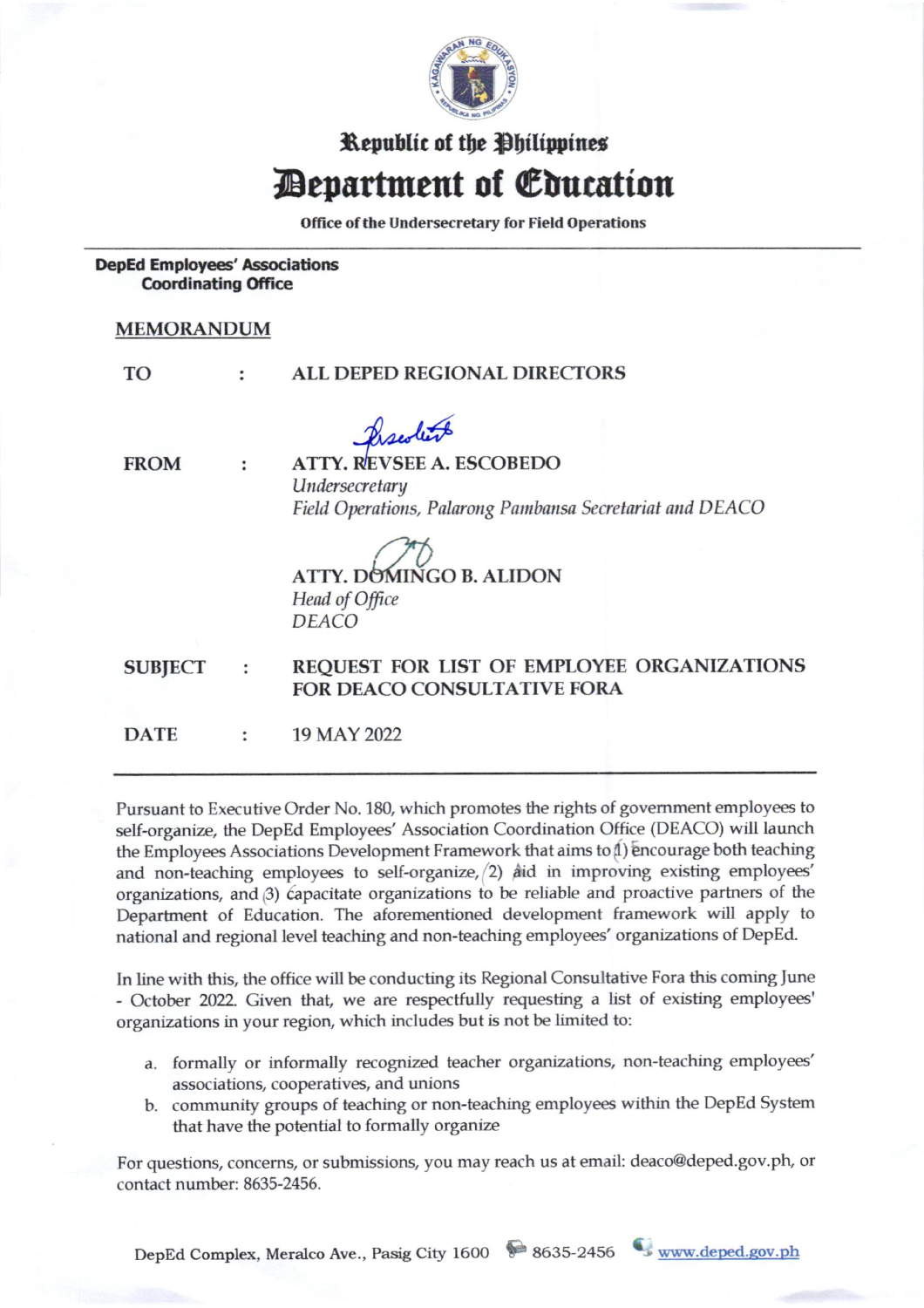

## Republic of the Philippines **Department of Education**

Office of the Undersecretary for Field Operations

**DepEd Employees' Associations Coordinating Office** 

 $\ddot{\phantom{a}}$ 

## **MEMORANDUM**

T<sub>O</sub>

## ALL DEPED REGIONAL DIRECTORS  $\ddot{\cdot}$

Predicts

**FROM** 

**ATTY. REVSEE A. ESCOBEDO** Undersecretary Field Operations, Palarong Pambansa Secretariat and DEACO

**ATTY. DOMINGO B. ALIDON** Head of Office **DEACO** 

REQUEST FOR LIST OF EMPLOYEE ORGANIZATIONS **SUBJECT** : FOR DEACO CONSULTATIVE FORA

**DATE** 19 MAY 2022  $\ddot{\phantom{a}}$ 

Pursuant to Executive Order No. 180, which promotes the rights of government employees to self-organize, the DepEd Employees' Association Coordination Office (DEACO) will launch the Employees Associations Development Framework that aims to 1) encourage both teaching and non-teaching employees to self-organize,  $(2)$  and in improving existing employees' organizations, and (3) capacitate organizations to be reliable and proactive partners of the Department of Education. The aforementioned development framework will apply to national and regional level teaching and non-teaching employees' organizations of DepEd.

In line with this, the office will be conducting its Regional Consultative Fora this coming June - October 2022. Given that, we are respectfully requesting a list of existing employees' organizations in your region, which includes but is not be limited to:

- a. formally or informally recognized teacher organizations, non-teaching employees' associations, cooperatives, and unions
- b. community groups of teaching or non-teaching employees within the DepEd System that have the potential to formally organize

For questions, concerns, or submissions, you may reach us at email: deaco@deped.gov.ph, or contact number: 8635-2456.

DepEd Complex, Meralco Ave., Pasig City 1600 8635-2456 www.deped.gov.ph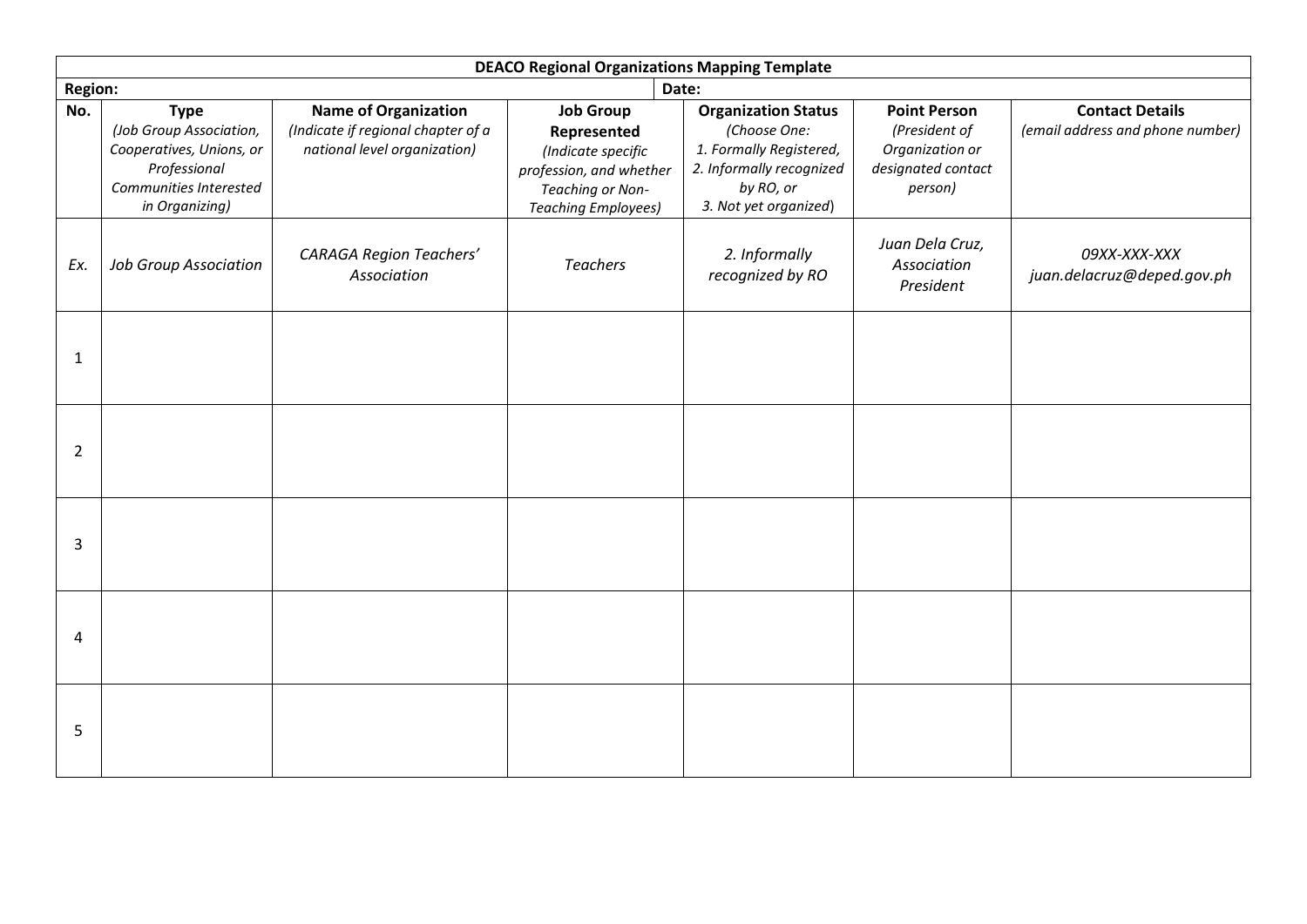| <b>DEACO Regional Organizations Mapping Template</b> |                                                                                                                                |                                                                                                   |                                                                                                                                    |                                                                                                                                         |                                                                                          |                                                            |  |
|------------------------------------------------------|--------------------------------------------------------------------------------------------------------------------------------|---------------------------------------------------------------------------------------------------|------------------------------------------------------------------------------------------------------------------------------------|-----------------------------------------------------------------------------------------------------------------------------------------|------------------------------------------------------------------------------------------|------------------------------------------------------------|--|
| <b>Region:</b><br>Date:                              |                                                                                                                                |                                                                                                   |                                                                                                                                    |                                                                                                                                         |                                                                                          |                                                            |  |
| No.                                                  | <b>Type</b><br>(Job Group Association,<br>Cooperatives, Unions, or<br>Professional<br>Communities Interested<br>in Organizing) | <b>Name of Organization</b><br>(Indicate if regional chapter of a<br>national level organization) | <b>Job Group</b><br>Represented<br>(Indicate specific<br>profession, and whether<br>Teaching or Non-<br><b>Teaching Employees)</b> | <b>Organization Status</b><br>(Choose One:<br>1. Formally Registered,<br>2. Informally recognized<br>by RO, or<br>3. Not yet organized) | <b>Point Person</b><br>(President of<br>Organization or<br>designated contact<br>person) | <b>Contact Details</b><br>(email address and phone number) |  |
| Ex.                                                  | <b>Job Group Association</b>                                                                                                   | <b>CARAGA Region Teachers'</b><br>Association                                                     | <b>Teachers</b>                                                                                                                    | 2. Informally<br>recognized by RO                                                                                                       | Juan Dela Cruz,<br>Association<br>President                                              | 09XX-XXX-XXX<br>juan.delacruz@deped.gov.ph                 |  |
| 1                                                    |                                                                                                                                |                                                                                                   |                                                                                                                                    |                                                                                                                                         |                                                                                          |                                                            |  |
| $\overline{2}$                                       |                                                                                                                                |                                                                                                   |                                                                                                                                    |                                                                                                                                         |                                                                                          |                                                            |  |
| 3                                                    |                                                                                                                                |                                                                                                   |                                                                                                                                    |                                                                                                                                         |                                                                                          |                                                            |  |
| 4                                                    |                                                                                                                                |                                                                                                   |                                                                                                                                    |                                                                                                                                         |                                                                                          |                                                            |  |
| 5                                                    |                                                                                                                                |                                                                                                   |                                                                                                                                    |                                                                                                                                         |                                                                                          |                                                            |  |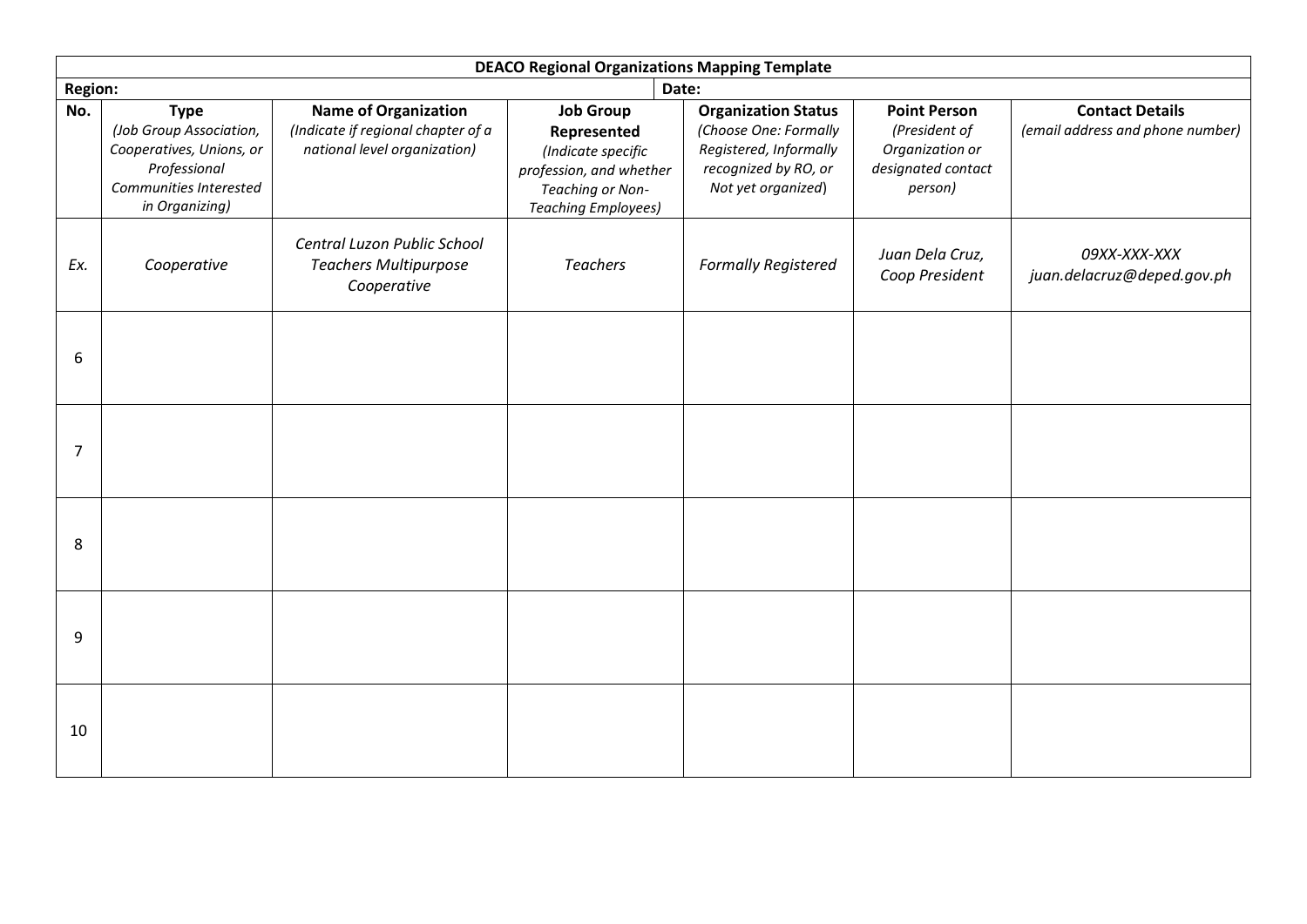| <b>DEACO Regional Organizations Mapping Template</b> |                                                                                                                                |                                                                                                   |                                                                                                                                    |                                                                                                                             |                                                                                          |                                                            |  |
|------------------------------------------------------|--------------------------------------------------------------------------------------------------------------------------------|---------------------------------------------------------------------------------------------------|------------------------------------------------------------------------------------------------------------------------------------|-----------------------------------------------------------------------------------------------------------------------------|------------------------------------------------------------------------------------------|------------------------------------------------------------|--|
| <b>Region:</b><br>Date:                              |                                                                                                                                |                                                                                                   |                                                                                                                                    |                                                                                                                             |                                                                                          |                                                            |  |
| No.                                                  | <b>Type</b><br>(Job Group Association,<br>Cooperatives, Unions, or<br>Professional<br>Communities Interested<br>in Organizing) | <b>Name of Organization</b><br>(Indicate if regional chapter of a<br>national level organization) | <b>Job Group</b><br>Represented<br>(Indicate specific<br>profession, and whether<br>Teaching or Non-<br><b>Teaching Employees)</b> | <b>Organization Status</b><br>(Choose One: Formally<br>Registered, Informally<br>recognized by RO, or<br>Not yet organized) | <b>Point Person</b><br>(President of<br>Organization or<br>designated contact<br>person) | <b>Contact Details</b><br>(email address and phone number) |  |
| Ex.                                                  | Cooperative                                                                                                                    | Central Luzon Public School<br><b>Teachers Multipurpose</b><br>Cooperative                        | <b>Teachers</b>                                                                                                                    | <b>Formally Registered</b>                                                                                                  | Juan Dela Cruz,<br>Coop President                                                        | 09XX-XXX-XXX<br>juan.delacruz@deped.gov.ph                 |  |
| 6                                                    |                                                                                                                                |                                                                                                   |                                                                                                                                    |                                                                                                                             |                                                                                          |                                                            |  |
| $\overline{7}$                                       |                                                                                                                                |                                                                                                   |                                                                                                                                    |                                                                                                                             |                                                                                          |                                                            |  |
| 8                                                    |                                                                                                                                |                                                                                                   |                                                                                                                                    |                                                                                                                             |                                                                                          |                                                            |  |
| 9                                                    |                                                                                                                                |                                                                                                   |                                                                                                                                    |                                                                                                                             |                                                                                          |                                                            |  |
| 10                                                   |                                                                                                                                |                                                                                                   |                                                                                                                                    |                                                                                                                             |                                                                                          |                                                            |  |